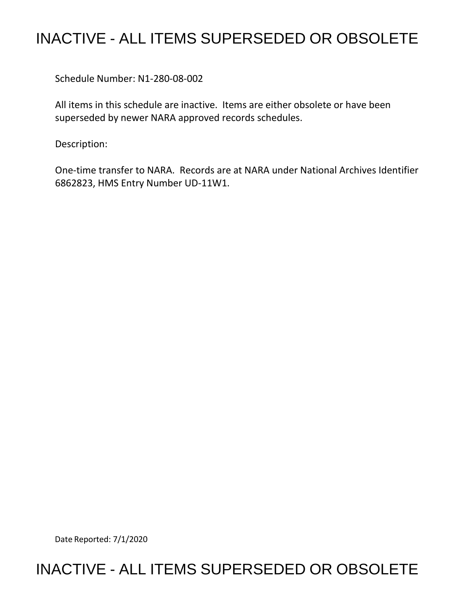## INACTIVE - ALL ITEMS SUPERSEDED OR OBSOLETE

Schedule Number: N1-280-08-002

All items in this schedule are inactive. Items are either obsolete or have been superseded by newer NARA approved records schedules.

Description:

One-time transfer to NARA. Records are at NARA under National Archives Identifier 6862823, HMS Entry Number UD-11W1.

Date Reported: 7/1/2020

## INACTIVE - ALL ITEMS SUPERSEDED OR OBSOLETE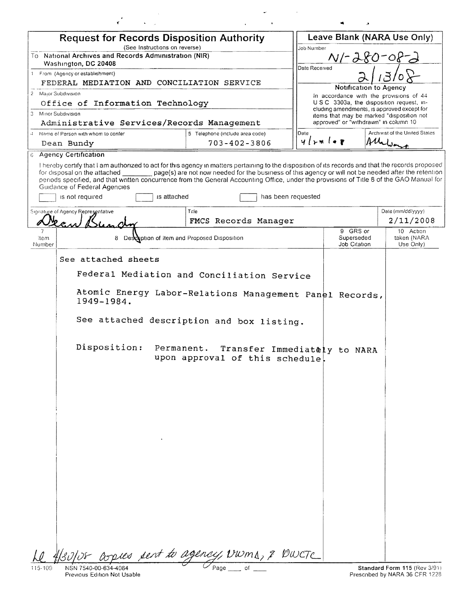| <b>Request for Records Disposition Authority</b>                                                                                                                                                                                                                                                                                                                                                  |                                                                                                      |                    | Leave Blank (NARA Use Only)                                                             |                                |  |
|---------------------------------------------------------------------------------------------------------------------------------------------------------------------------------------------------------------------------------------------------------------------------------------------------------------------------------------------------------------------------------------------------|------------------------------------------------------------------------------------------------------|--------------------|-----------------------------------------------------------------------------------------|--------------------------------|--|
| (See Instructions on reverse)<br>To National Archives and Records Administration (NIR)                                                                                                                                                                                                                                                                                                            |                                                                                                      | Job Number         | $N - 280 - 08 - 3$                                                                      |                                |  |
| Washington, DC 20408                                                                                                                                                                                                                                                                                                                                                                              |                                                                                                      | Date Received      |                                                                                         |                                |  |
| 1 From (Agency or establishment)<br>FEDERAL MEDIATION AND CONCILIATION SERVICE                                                                                                                                                                                                                                                                                                                    |                                                                                                      |                    |                                                                                         |                                |  |
| 2 Major Subdivision                                                                                                                                                                                                                                                                                                                                                                               |                                                                                                      |                    | Notification to Agency                                                                  |                                |  |
| Office of Information Technology                                                                                                                                                                                                                                                                                                                                                                  |                                                                                                      |                    | In accordance with the provisions of 44<br>USC 3303a, the disposition request, in-      |                                |  |
| 3 Minor Subdivision                                                                                                                                                                                                                                                                                                                                                                               |                                                                                                      |                    | cluding amendments, is approved except for<br>items that may be marked "disposition not |                                |  |
| Administrative Services/Records Management                                                                                                                                                                                                                                                                                                                                                        |                                                                                                      |                    | approved" or "withdrawn" in column 10                                                   |                                |  |
| Name of Person with whom to confer                                                                                                                                                                                                                                                                                                                                                                | 5 Telephone (include area code)                                                                      | Date               |                                                                                         | Archivist of the United States |  |
| Dean Bundy                                                                                                                                                                                                                                                                                                                                                                                        | $703 - 402 - 3806$                                                                                   | $4$ rwler          |                                                                                         | Malin                          |  |
| <b>6 Agency Certification</b>                                                                                                                                                                                                                                                                                                                                                                     |                                                                                                      |                    |                                                                                         |                                |  |
| I hereby certify that I am authorized to act for this agency in matters pertaining to the disposition of its records and that the records proposed<br>for disposal on the attached<br>periods specified, and that written concurrence from the General Accounting Office, under the provisions of Title 8 of the GAO Manual for<br>Guidance of Federal Agencies<br>is not required<br>is attached | page(s) are not now needed for the business of this agency or will not be needed after the retention | has been requested |                                                                                         |                                |  |
|                                                                                                                                                                                                                                                                                                                                                                                                   | Title                                                                                                |                    |                                                                                         | Date (mm/dd/yyyy)              |  |
| Signature of Agency Representative                                                                                                                                                                                                                                                                                                                                                                | FMCS Records Manager                                                                                 |                    |                                                                                         | 2/11/2008                      |  |
|                                                                                                                                                                                                                                                                                                                                                                                                   |                                                                                                      |                    | 9 GRS or                                                                                | 10 Action                      |  |
| 8 Description of Item and Proposed Disposition<br>ltem<br>Number                                                                                                                                                                                                                                                                                                                                  |                                                                                                      |                    | Superseded<br>Job Citation                                                              | taken (NARA<br>Use Only)       |  |
| Federal Mediation and Conciliation Service<br>Atomic Energy Labor-Relations Management Panel Records,<br>1949-1984.<br>See attached description and box listing.<br>Disposition:                                                                                                                                                                                                                  | Permanent. Transfer Immediately to NARA<br>upon approval of this schedule!                           |                    |                                                                                         |                                |  |
|                                                                                                                                                                                                                                                                                                                                                                                                   |                                                                                                      |                    |                                                                                         |                                |  |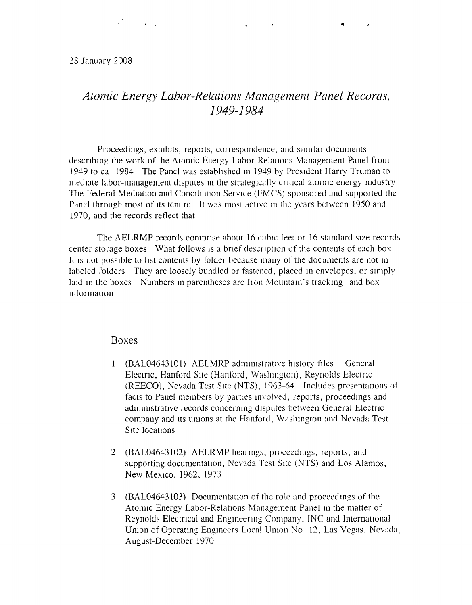$\mathcal{L} = \mathcal{L} \times \mathcal{L}$ 

## *Atomic Energy Labor-Relations Management Panel Records, 1949-1984*

.. ...

Proceedings, exhibits, reports, correspondence, and similar documents descnbmg the work of the Atomic Energy Labor-Relallons Management Panel from 1949 to ca 1984 The Panel was established in 1949 by President Harry Truman to mediate labor-management disputes in the strategically critical atomic energy industry The Federal Mediation and Conciliation Service (FMCS) sponsored and supported the Panel through most of its tenure It was most active in the years between 1950 and 1970, and the records reflect that

The AELRMP records comprise about 16 cubic feet or 16 standard size records center storage boxes What follows is a brief description of the contents of each box It is not possible to list contents by folder because many of the documents are not in labeled folders They are loosely bundled or fastened, placed m envelopes, or simply laid in the boxes Numbers in parentheses are Iron Mountain's tracking and box 1nformat1on

## Boxes

- 1 (BAL04643101) AELMRP administrative history files General Electnc, Hanford Site (Hanford, Washmgton), Reynolds Electric (REECO), Nevada Test Site (NTS), 1963-64 Includes presentations ot facts to Panel members by parties mvolved, reports, proceedmgs and administrative records concerning disputes between General Electric company and its muons at the Hanford, Washmgton and Nevada Test Site locations
- 2 (BAL04643102) AELRMP hearings, proceedmgs, reports, and supporting documentation, Nevada Test Site (NTS) and Los Alamos, New Mexico, 1962, 1973
- 3 (BAL04643103) Documentation of the role and proceedings of the Atomic Energy Labor-Relations Management Panel m the matter of Reynolds Electrical and Engmeenng Company, INC and International Union of Operating Engineers Local Union No 12, Las Vegas, Nevada, August-December 1970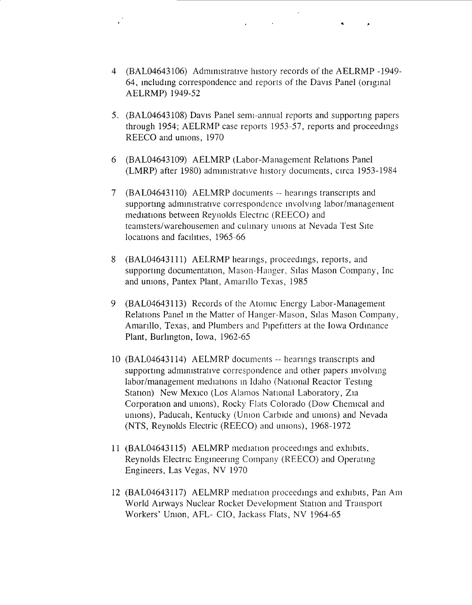4 (BAL04643106) Administrative history records of the AELRMP -1949-64, mcludmg correspondence and reports of the Davis Panel (ongmal AELRMP) 1949-52

 $\mathcal{L}^{\text{max}}$  . The  $\mathcal{L}^{\text{max}}$ 

- 5. (BAL04643108) Davis Panel semi-annual reports and supportmg papers through 1954; AELRMP case reports 1953-57, reports and proceedmgs REECO and unions, 1970
- 6 (BAL04643109) AELMRP (Labor-Management Relations Panel (LMRP) after 1980) administrative history documents, circa 1953-1984
- 7 (BAL04643110) AELMRP documents -- hearmgs transcripts and supporting administrative correspondence involving labor/management mediations between Reynolds Electnc (REECO) and teamsters/warehousemen and culmary umons at Nevada Test Site locations and facilities, 1965-66
- 8 (BAL04643111) AELRMP hearings, proceedmgs, reports, and supporting documentation, Mason-Hanger, Silas Mason Company, Inc. and umons, Pantex Plant, Amarillo Texas, 1985
- 9 (BAL04643113) Records of the Atomic Energy Labor-Management Relations Panel m the Matter of Hanger-Mason, Silas Mason Company, Amarillo, Texas, and Plumbers and Pipefitters at the Iowa Ordinance Plant, Burlmgton, Iowa, 1962-65
- 10 (BAL04643114) AELMRP documents -- hearings transcnpts and supporting administrative correspondence and other papers involving labor/management mediations in Idaho (National Reactor Testing Station) New Mexico (Los Alamos National Laboratory, Zia Corporation and unions), Rocky Flats Colorado (Dow Chemical and unions), Paducah, Kentucky (Union Carbide and unions) and Nevada (NTS, Reynolds Electric (REECO) and unions), 1968-1972
- 11 (BAL04643115) AELMRP mediation proceedings and exhibits, Reynolds Electric Engmeenng Company (REECO) and Operating Engineers. Las Vegas, NV 1970
- 12 (BAL04643117) AELMRP mediation proceedings and exhibits, Pan Am World Airways Nuclear Rocket Development Station and Transport Workers' Umon, AFL- CIO, Jackass Flats, NV 1964-65